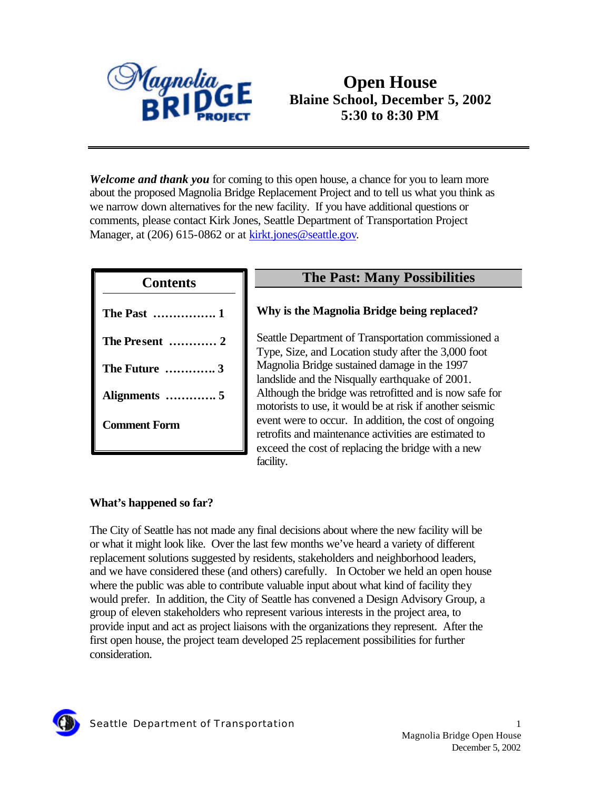

# **Open House Blaine School, December 5, 2002 5:30 to 8:30 PM**

*Welcome and thank you* for coming to this open house, a chance for you to learn more about the proposed Magnolia Bridge Replacement Project and to tell us what you think as we narrow down alternatives for the new facility. If you have additional questions or comments, please contact Kirk Jones, Seattle Department of Transportation Project Manager, at (206) 615-0862 or at kirkt.jones@seattle.gov.

| <b>Contents</b>     |  |
|---------------------|--|
| <b>The Past  1</b>  |  |
| The Present  2      |  |
| <b>The Future</b> 3 |  |
|                     |  |
| <b>Comment Form</b> |  |
|                     |  |

## **The Past: Many Possibilities**

### **Why is the Magnolia Bridge being replaced?**

Seattle Department of Transportation commissioned a Type, Size, and Location study after the 3,000 foot Magnolia Bridge sustained damage in the 1997 landslide and the Nisqually earthquake of 2001. Although the bridge was retrofitted and is now safe for motorists to use, it would be at risk if another seismic event were to occur. In addition, the cost of ongoing retrofits and maintenance activities are estimated to exceed the cost of replacing the bridge with a new facility.

### **What's happened so far?**

The City of Seattle has not made any final decisions about where the new facility will be or what it might look like. Over the last few months we've heard a variety of different replacement solutions suggested by residents, stakeholders and neighborhood leaders, and we have considered these (and others) carefully. In October we held an open house where the public was able to contribute valuable input about what kind of facility they would prefer. In addition, the City of Seattle has convened a Design Advisory Group, a group of eleven stakeholders who represent various interests in the project area, to provide input and act as project liaisons with the organizations they represent. After the first open house, the project team developed 25 replacement possibilities for further consideration.

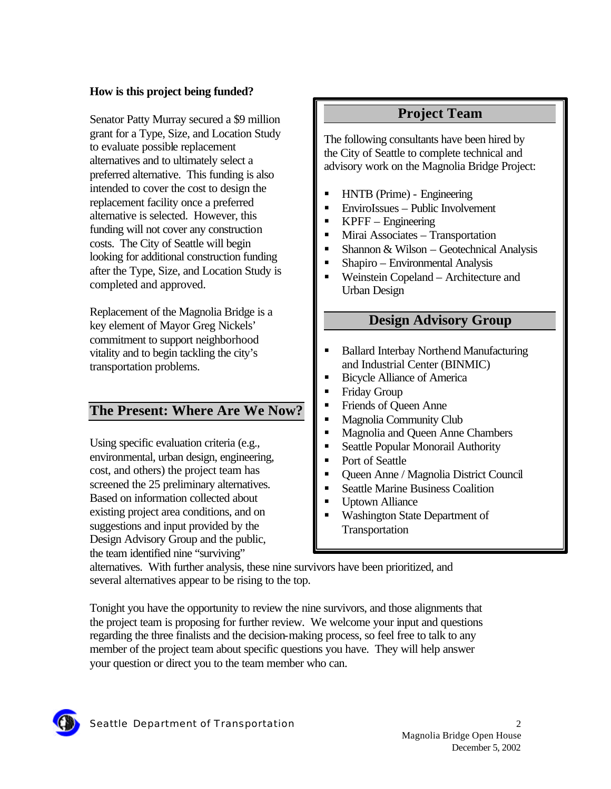### **How is this project being funded?**

Senator Patty Murray secured a \$9 million grant for a Type, Size, and Location Study to evaluate possible replacement alternatives and to ultimately select a preferred alternative. This funding is also intended to cover the cost to design the replacement facility once a preferred alternative is selected. However, this funding will not cover any construction costs. The City of Seattle will begin looking for additional construction funding after the Type, Size, and Location Study is completed and approved.

Replacement of the Magnolia Bridge is a key element of Mayor Greg Nickels' commitment to support neighborhood vitality and to begin tackling the city's transportation problems.

## **The Present: Where Are We Now?**

Using specific evaluation criteria (e.g., environmental, urban design, engineering, cost, and others) the project team has screened the 25 preliminary alternatives. Based on information collected about existing project area conditions, and on suggestions and input provided by the Design Advisory Group and the public, the team identified nine "surviving"

## **Project Team**

The following consultants have been hired by the City of Seattle to complete technical and advisory work on the Magnolia Bridge Project:

- ß HNTB (Prime) Engineering
- ß EnviroIssues Public Involvement
- ß KPFF Engineering
- ß Mirai Associates Transportation
- $\blacksquare$  Shannon & Wilson Geotechnical Analysis
- ß Shapiro Environmental Analysis
- ß Weinstein Copeland Architecture and Urban Design

## **Design Advisory Group**

- ß Ballard Interbay Northend Manufacturing and Industrial Center (BINMIC)
- ß Bicycle Alliance of America
- ß Friday Group
- ß Friends of Queen Anne
- ß Magnolia Community Club
- ß Magnolia and Queen Anne Chambers
- Seattle Popular Monorail Authority
- Port of Seattle
- ß Queen Anne / Magnolia District Council
- ß Seattle Marine Business Coalition
- Uptown Alliance
- ß Washington State Department of Transportation

alternatives. With further analysis, these nine survivors have been prioritized, and several alternatives appear to be rising to the top.

Tonight you have the opportunity to review the nine survivors, and those alignments that the project team is proposing for further review. We welcome your input and questions regarding the three finalists and the decision-making process, so feel free to talk to any member of the project team about specific questions you have. They will help answer your question or direct you to the team member who can.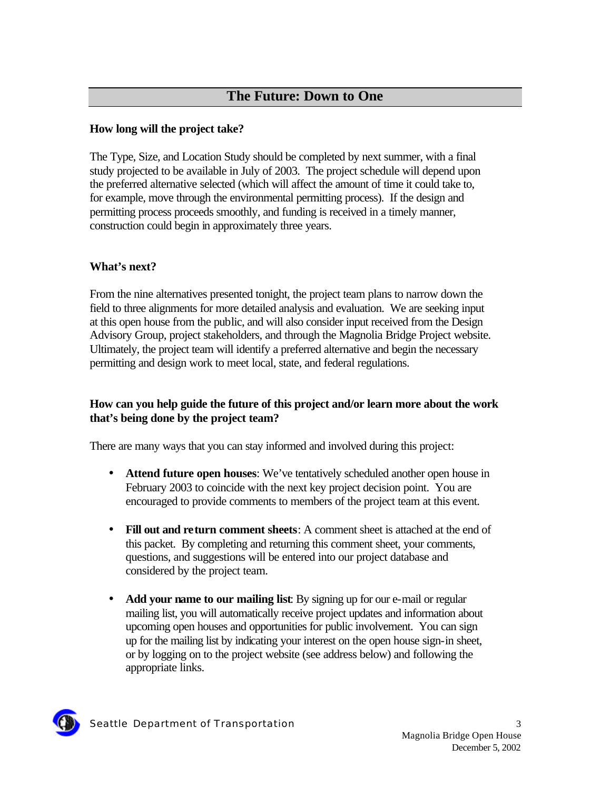## **The Future: Down to One**

### **How long will the project take?**

The Type, Size, and Location Study should be completed by next summer, with a final study projected to be available in July of 2003. The project schedule will depend upon the preferred alternative selected (which will affect the amount of time it could take to, for example, move through the environmental permitting process). If the design and permitting process proceeds smoothly, and funding is received in a timely manner, construction could begin in approximately three years.

### **What's next?**

From the nine alternatives presented tonight, the project team plans to narrow down the field to three alignments for more detailed analysis and evaluation. We are seeking input at this open house from the public, and will also consider input received from the Design Advisory Group, project stakeholders, and through the Magnolia Bridge Project website. Ultimately, the project team will identify a preferred alternative and begin the necessary permitting and design work to meet local, state, and federal regulations.

### **How can you help guide the future of this project and/or learn more about the work that's being done by the project team?**

There are many ways that you can stay informed and involved during this project:

- **Attend future open houses**: We've tentatively scheduled another open house in February 2003 to coincide with the next key project decision point. You are encouraged to provide comments to members of the project team at this event.
- **Fill out and return comment sheets**: A comment sheet is attached at the end of this packet. By completing and returning this comment sheet, your comments, questions, and suggestions will be entered into our project database and considered by the project team.
- **Add your name to our mailing list**: By signing up for our e-mail or regular mailing list, you will automatically receive project updates and information about upcoming open houses and opportunities for public involvement. You can sign up for the mailing list by indicating your interest on the open house sign-in sheet, or by logging on to the project website (see address below) and following the appropriate links.

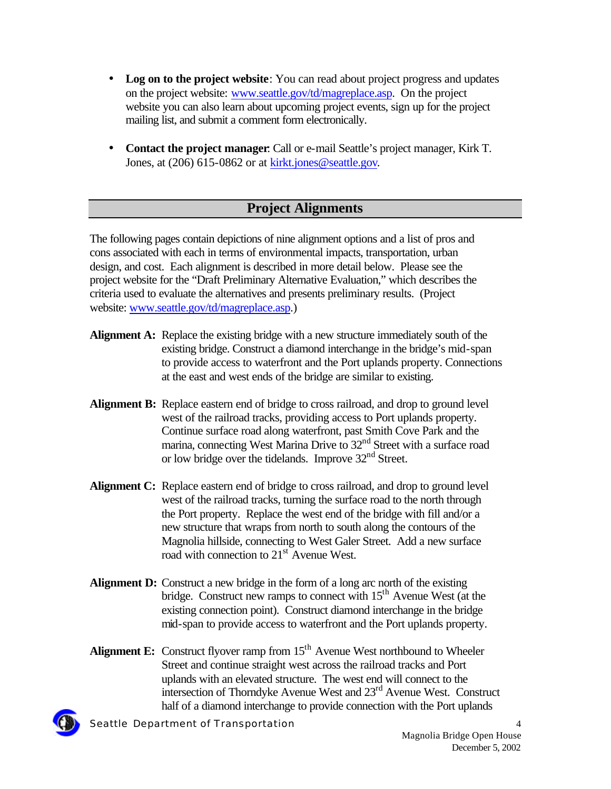- **Log on to the project website**: You can read about project progress and updates on the project website: www.seattle.gov/td/magreplace.asp. On the project website you can also learn about upcoming project events, sign up for the project mailing list, and submit a comment form electronically.
- **Contact the project manager**: Call or e-mail Seattle's project manager, Kirk T. Jones, at (206) 615-0862 or at kirkt.jones@seattle.gov.

## **Project Alignments**

The following pages contain depictions of nine alignment options and a list of pros and cons associated with each in terms of environmental impacts, transportation, urban design, and cost. Each alignment is described in more detail below. Please see the project website for the "Draft Preliminary Alternative Evaluation," which describes the criteria used to evaluate the alternatives and presents preliminary results. (Project website: www.seattle.gov/td/magreplace.asp.)

- **Alignment A:** Replace the existing bridge with a new structure immediately south of the existing bridge. Construct a diamond interchange in the bridge's mid-span to provide access to waterfront and the Port uplands property. Connections at the east and west ends of the bridge are similar to existing.
- **Alignment B:** Replace eastern end of bridge to cross railroad, and drop to ground level west of the railroad tracks, providing access to Port uplands property. Continue surface road along waterfront, past Smith Cove Park and the marina, connecting West Marina Drive to 32<sup>nd</sup> Street with a surface road or low bridge over the tidelands. Improve 32<sup>nd</sup> Street.
- **Alignment C:** Replace eastern end of bridge to cross railroad, and drop to ground level west of the railroad tracks, turning the surface road to the north through the Port property. Replace the west end of the bridge with fill and/or a new structure that wraps from north to south along the contours of the Magnolia hillside, connecting to West Galer Street. Add a new surface road with connection to 21<sup>st</sup> Avenue West.
- **Alignment D:** Construct a new bridge in the form of a long arc north of the existing bridge. Construct new ramps to connect with 15<sup>th</sup> Avenue West (at the existing connection point). Construct diamond interchange in the bridge mid-span to provide access to waterfront and the Port uplands property.
- **Alignment E:** Construct flyover ramp from 15<sup>th</sup> Avenue West northbound to Wheeler Street and continue straight west across the railroad tracks and Port uplands with an elevated structure. The west end will connect to the intersection of Thorndyke Avenue West and 23<sup>rd</sup> Avenue West. Construct half of a diamond interchange to provide connection with the Port uplands